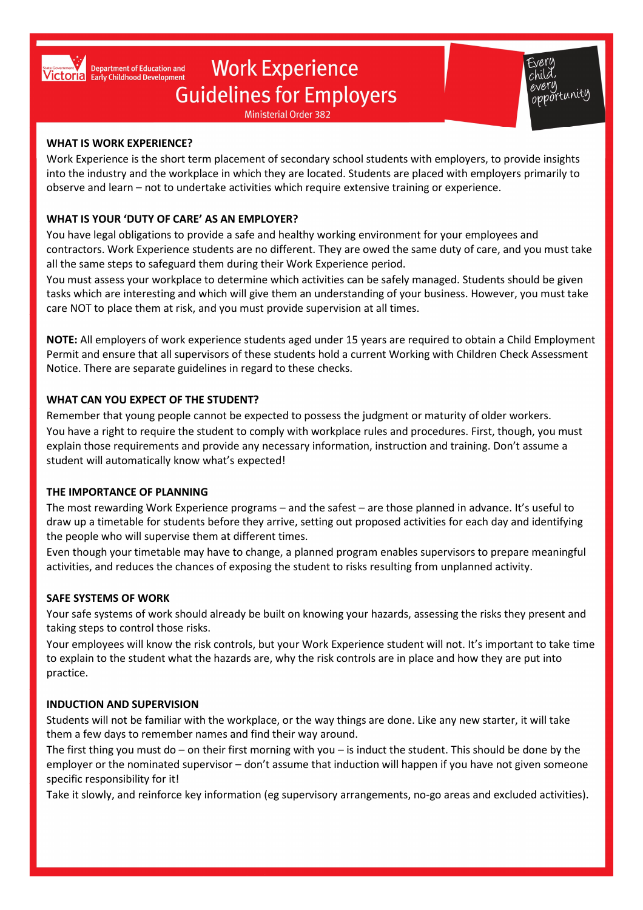

# **Work Experience Guidelines for Employers**

**Ministerial Order 382** 



#### WHAT IS WORK EXPERIENCE?

Work Experience is the short term placement of secondary school students with employers, to provide insights into the industry and the workplace in which they are located. Students are placed with employers primarily to observe and learn – not to undertake activities which require extensive training or experience.

# WHAT IS YOUR 'DUTY OF CARE' AS AN EMPLOYER?

You have legal obligations to provide a safe and healthy working environment for your employees and contractors. Work Experience students are no different. They are owed the same duty of care, and you must take all the same steps to safeguard them during their Work Experience period.

You must assess your workplace to determine which activities can be safely managed. Students should be given tasks which are interesting and which will give them an understanding of your business. However, you must take care NOT to place them at risk, and you must provide supervision at all times.

NOTE: All employers of work experience students aged under 15 years are required to obtain a Child Employment Permit and ensure that all supervisors of these students hold a current Working with Children Check Assessment Notice. There are separate guidelines in regard to these checks.

# WHAT CAN YOU EXPECT OF THE STUDENT?

Remember that young people cannot be expected to possess the judgment or maturity of older workers. You have a right to require the student to comply with workplace rules and procedures. First, though, you must explain those requirements and provide any necessary information, instruction and training. Don't assume a student will automatically know what's expected!

# THE IMPORTANCE OF PLANNING

The most rewarding Work Experience programs – and the safest – are those planned in advance. It's useful to draw up a timetable for students before they arrive, setting out proposed activities for each day and identifying the people who will supervise them at different times.

Even though your timetable may have to change, a planned program enables supervisors to prepare meaningful activities, and reduces the chances of exposing the student to risks resulting from unplanned activity.

# SAFE SYSTEMS OF WORK

Your safe systems of work should already be built on knowing your hazards, assessing the risks they present and taking steps to control those risks.

Your employees will know the risk controls, but your Work Experience student will not. It's important to take time to explain to the student what the hazards are, why the risk controls are in place and how they are put into practice.

# INDUCTION AND SUPERVISION

Students will not be familiar with the workplace, or the way things are done. Like any new starter, it will take them a few days to remember names and find their way around.

The first thing you must do – on their first morning with you – is induct the student. This should be done by the employer or the nominated supervisor – don't assume that induction will happen if you have not given someone specific responsibility for it!

Take it slowly, and reinforce key information (eg supervisory arrangements, no-go areas and excluded activities).